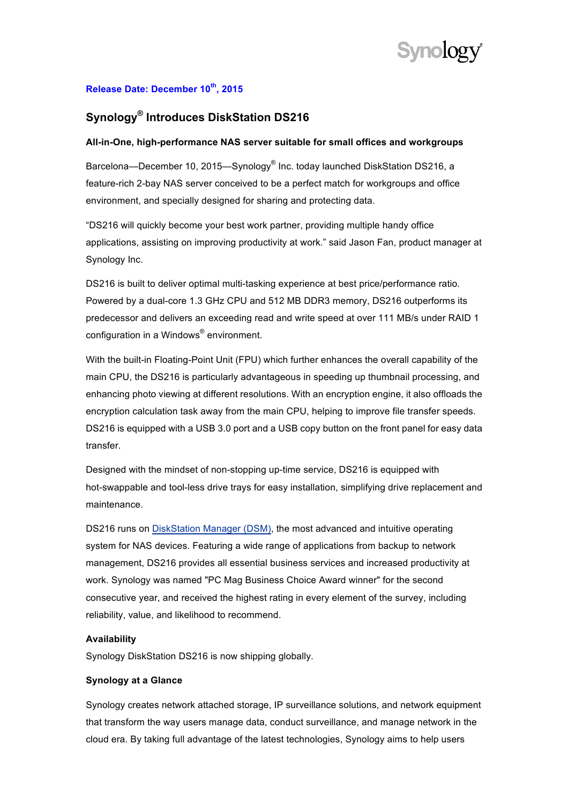

### **Release Date: December 10th, 2015**

# **Synology® Introduces DiskStation DS216**

#### **All-in-One, high-performance NAS server suitable for small offices and workgroups**

Barcelona—December 10, 2015—Synology® Inc. today launched DiskStation DS216, a feature-rich 2-bay NAS server conceived to be a perfect match for workgroups and office environment, and specially designed for sharing and protecting data.

"DS216 will quickly become your best work partner, providing multiple handy office applications, assisting on improving productivity at work." said Jason Fan, product manager at Synology Inc.

DS216 is built to deliver optimal multi-tasking experience at best price/performance ratio. Powered by a dual-core 1.3 GHz CPU and 512 MB DDR3 memory, DS216 outperforms its predecessor and delivers an exceeding read and write speed at over 111 MB/s under RAID 1 configuration in a Windows® environment.

With the built-in Floating-Point Unit (FPU) which further enhances the overall capability of the main CPU, the DS216 is particularly advantageous in speeding up thumbnail processing, and enhancing photo viewing at different resolutions. With an encryption engine, it also offloads the encryption calculation task away from the main CPU, helping to improve file transfer speeds. DS216 is equipped with a USB 3.0 port and a USB copy button on the front panel for easy data transfer.

Designed with the mindset of non-stopping up-time service, DS216 is equipped with hot-swappable and tool-less drive trays for easy installation, simplifying drive replacement and maintenance.

DS216 runs on DiskStation Manager (DSM), the most advanced and intuitive operating system for NAS devices. Featuring a wide range of applications from backup to network management, DS216 provides all essential business services and increased productivity at work. Synology was named "PC Mag Business Choice Award winner" for the second consecutive year, and received the highest rating in every element of the survey, including reliability, value, and likelihood to recommend.

#### **Availability**

Synology DiskStation DS216 is now shipping globally.

#### **Synology at a Glance**

Synology creates network attached storage, IP surveillance solutions, and network equipment that transform the way users manage data, conduct surveillance, and manage network in the cloud era. By taking full advantage of the latest technologies, Synology aims to help users